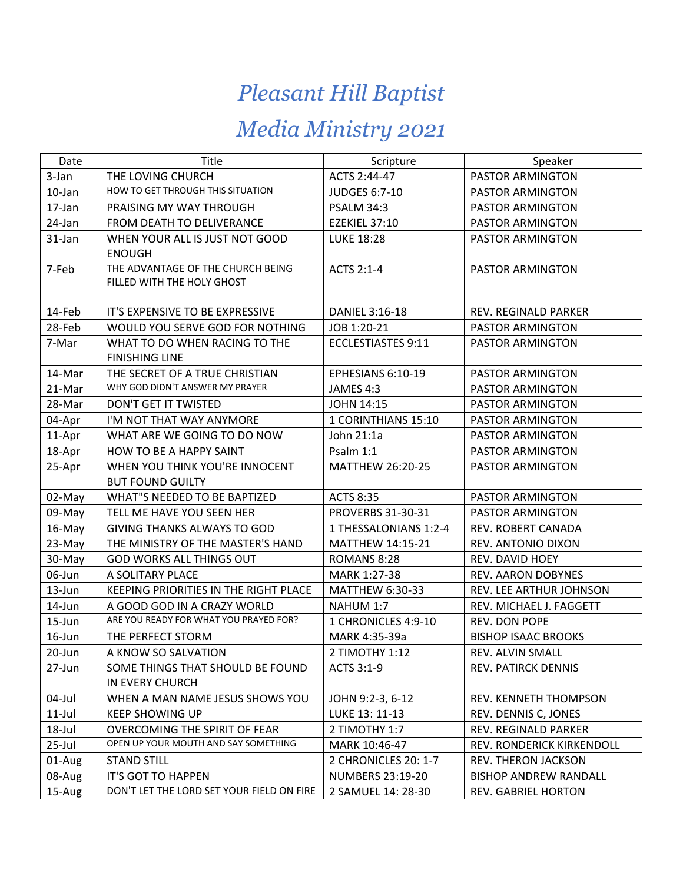## *Pleasant Hill Baptist*

## *Media Ministry 2021*

| Date       | Title                                                           | Scripture                 | Speaker                      |
|------------|-----------------------------------------------------------------|---------------------------|------------------------------|
| 3-Jan      | THE LOVING CHURCH                                               | ACTS 2:44-47              | PASTOR ARMINGTON             |
| 10-Jan     | HOW TO GET THROUGH THIS SITUATION                               | JUDGES 6:7-10             | PASTOR ARMINGTON             |
| 17-Jan     | PRAISING MY WAY THROUGH                                         | <b>PSALM 34:3</b>         | PASTOR ARMINGTON             |
| 24-Jan     | FROM DEATH TO DELIVERANCE                                       | <b>EZEKIEL 37:10</b>      | PASTOR ARMINGTON             |
| 31-Jan     | WHEN YOUR ALL IS JUST NOT GOOD<br><b>ENOUGH</b>                 | <b>LUKE 18:28</b>         | PASTOR ARMINGTON             |
| 7-Feb      | THE ADVANTAGE OF THE CHURCH BEING<br>FILLED WITH THE HOLY GHOST | ACTS 2:1-4                | PASTOR ARMINGTON             |
| 14-Feb     | IT'S EXPENSIVE TO BE EXPRESSIVE                                 | DANIEL 3:16-18            | REV. REGINALD PARKER         |
| 28-Feb     | WOULD YOU SERVE GOD FOR NOTHING                                 | JOB 1:20-21               | <b>PASTOR ARMINGTON</b>      |
| 7-Mar      | WHAT TO DO WHEN RACING TO THE<br><b>FINISHING LINE</b>          | <b>ECCLESTIASTES 9:11</b> | <b>PASTOR ARMINGTON</b>      |
| 14-Mar     | THE SECRET OF A TRUE CHRISTIAN                                  | EPHESIANS 6:10-19         | PASTOR ARMINGTON             |
| 21-Mar     | WHY GOD DIDN'T ANSWER MY PRAYER                                 | JAMES 4:3                 | PASTOR ARMINGTON             |
| 28-Mar     | DON'T GET IT TWISTED                                            | <b>JOHN 14:15</b>         | <b>PASTOR ARMINGTON</b>      |
| 04-Apr     | I'M NOT THAT WAY ANYMORE                                        | 1 CORINTHIANS 15:10       | PASTOR ARMINGTON             |
| 11-Apr     | WHAT ARE WE GOING TO DO NOW                                     | John 21:1a                | PASTOR ARMINGTON             |
| 18-Apr     | HOW TO BE A HAPPY SAINT                                         | Psalm 1:1                 | PASTOR ARMINGTON             |
| 25-Apr     | WHEN YOU THINK YOU'RE INNOCENT<br><b>BUT FOUND GUILTY</b>       | MATTHEW 26:20-25          | PASTOR ARMINGTON             |
| 02-May     | WHAT"S NEEDED TO BE BAPTIZED                                    | <b>ACTS 8:35</b>          | <b>PASTOR ARMINGTON</b>      |
| 09-May     | TELL ME HAVE YOU SEEN HER                                       | PROVERBS 31-30-31         | PASTOR ARMINGTON             |
| 16-May     | <b>GIVING THANKS ALWAYS TO GOD</b>                              | 1 THESSALONIANS 1:2-4     | REV. ROBERT CANADA           |
| 23-May     | THE MINISTRY OF THE MASTER'S HAND                               | <b>MATTHEW 14:15-21</b>   | REV. ANTONIO DIXON           |
| 30-May     | <b>GOD WORKS ALL THINGS OUT</b>                                 | ROMANS 8:28               | REV. DAVID HOEY              |
| 06-Jun     | A SOLITARY PLACE                                                | MARK 1:27-38              | <b>REV. AARON DOBYNES</b>    |
| 13-Jun     | KEEPING PRIORITIES IN THE RIGHT PLACE                           | <b>MATTHEW 6:30-33</b>    | REV. LEE ARTHUR JOHNSON      |
| 14-Jun     | A GOOD GOD IN A CRAZY WORLD                                     | NAHUM 1:7                 | REV. MICHAEL J. FAGGETT      |
| $15 - Jun$ | ARE YOU READY FOR WHAT YOU PRAYED FOR?                          | 1 CHRONICLES 4:9-10       | <b>REV. DON POPE</b>         |
| 16-Jun     | THE PERFECT STORM                                               | MARK 4:35-39a             | <b>BISHOP ISAAC BROOKS</b>   |
| 20-Jun     | A KNOW SO SALVATION                                             | 2 TIMOTHY 1:12            | REV. ALVIN SMALL             |
| 27-Jun     | SOME THINGS THAT SHOULD BE FOUND<br>IN EVERY CHURCH             | ACTS 3:1-9                | <b>REV. PATIRCK DENNIS</b>   |
| 04-Jul     | WHEN A MAN NAME JESUS SHOWS YOU                                 | JOHN 9:2-3, 6-12          | REV. KENNETH THOMPSON        |
| $11$ -Jul  | <b>KEEP SHOWING UP</b>                                          | LUKE 13: 11-13            | REV. DENNIS C, JONES         |
| 18-Jul     | OVERCOMING THE SPIRIT OF FEAR                                   | 2 TIMOTHY 1:7             | REV. REGINALD PARKER         |
| $25 -$ Jul | OPEN UP YOUR MOUTH AND SAY SOMETHING                            | MARK 10:46-47             | REV. RONDERICK KIRKENDOLL    |
| 01-Aug     | <b>STAND STILL</b>                                              | 2 CHRONICLES 20: 1-7      | REV. THERON JACKSON          |
| 08-Aug     | IT'S GOT TO HAPPEN                                              | <b>NUMBERS 23:19-20</b>   | <b>BISHOP ANDREW RANDALL</b> |
| 15-Aug     | DON'T LET THE LORD SET YOUR FIELD ON FIRE                       | 2 SAMUEL 14: 28-30        | REV. GABRIEL HORTON          |